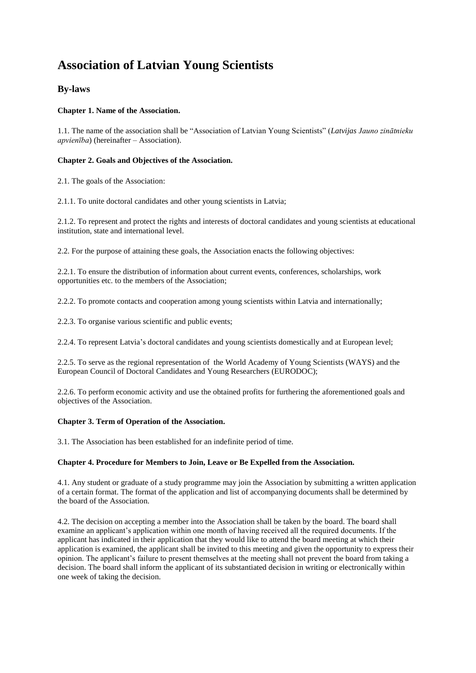# **Association of Latvian Young Scientists**

# **By-laws**

# **Chapter 1. Name of the Association.**

1.1. The name of the association shall be "Association of Latvian Young Scientists" (*Latvijas Jauno zinātnieku apvienība*) (hereinafter – Association).

# **Chapter 2. Goals and Objectives of the Association.**

2.1. The goals of the Association:

2.1.1. To unite doctoral candidates and other young scientists in Latvia;

2.1.2. To represent and protect the rights and interests of doctoral candidates and young scientists at educational institution, state and international level.

2.2. For the purpose of attaining these goals, the Association enacts the following objectives:

2.2.1. To ensure the distribution of information about current events, conferences, scholarships, work opportunities etc. to the members of the Association;

2.2.2. To promote contacts and cooperation among young scientists within Latvia and internationally;

2.2.3. To organise various scientific and public events;

2.2.4. To represent Latvia's doctoral candidates and young scientists domestically and at European level;

2.2.5. To serve as the regional representation of the World Academy of Young Scientists (WAYS) and the European Council of Doctoral Candidates and Young Researchers (EURODOC);

2.2.6. To perform economic activity and use the obtained profits for furthering the aforementioned goals and objectives of the Association.

# **Chapter 3. Term of Operation of the Association.**

3.1. The Association has been established for an indefinite period of time.

# **Chapter 4. Procedure for Members to Join, Leave or Be Expelled from the Association.**

4.1. Any student or graduate of a study programme may join the Association by submitting a written application of a certain format. The format of the application and list of accompanying documents shall be determined by the board of the Association.

4.2. The decision on accepting a member into the Association shall be taken by the board. The board shall examine an applicant's application within one month of having received all the required documents. If the applicant has indicated in their application that they would like to attend the board meeting at which their application is examined, the applicant shall be invited to this meeting and given the opportunity to express their opinion. The applicant's failure to present themselves at the meeting shall not prevent the board from taking a decision. The board shall inform the applicant of its substantiated decision in writing or electronically within one week of taking the decision.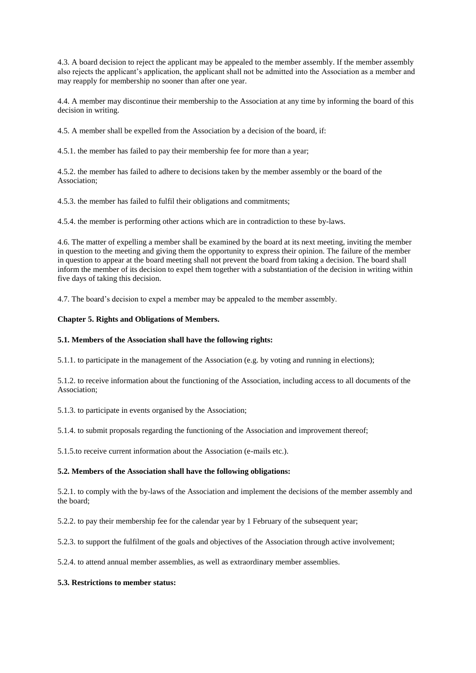4.3. A board decision to reject the applicant may be appealed to the member assembly. If the member assembly also rejects the applicant's application, the applicant shall not be admitted into the Association as a member and may reapply for membership no sooner than after one year.

4.4. A member may discontinue their membership to the Association at any time by informing the board of this decision in writing.

4.5. A member shall be expelled from the Association by a decision of the board, if:

4.5.1. the member has failed to pay their membership fee for more than a year;

4.5.2. the member has failed to adhere to decisions taken by the member assembly or the board of the Association;

4.5.3. the member has failed to fulfil their obligations and commitments;

4.5.4. the member is performing other actions which are in contradiction to these by-laws.

4.6. The matter of expelling a member shall be examined by the board at its next meeting, inviting the member in question to the meeting and giving them the opportunity to express their opinion. The failure of the member in question to appear at the board meeting shall not prevent the board from taking a decision. The board shall inform the member of its decision to expel them together with a substantiation of the decision in writing within five days of taking this decision.

4.7. The board's decision to expel a member may be appealed to the member assembly.

#### **Chapter 5. Rights and Obligations of Members.**

#### **5.1. Members of the Association shall have the following rights:**

5.1.1. to participate in the management of the Association (e.g. by voting and running in elections);

5.1.2. to receive information about the functioning of the Association, including access to all documents of the Association;

5.1.3. to participate in events organised by the Association;

5.1.4. to submit proposals regarding the functioning of the Association and improvement thereof;

5.1.5.to receive current information about the Association (e-mails etc.).

#### **5.2. Members of the Association shall have the following obligations:**

5.2.1. to comply with the by-laws of the Association and implement the decisions of the member assembly and the board;

5.2.2. to pay their membership fee for the calendar year by 1 February of the subsequent year;

5.2.3. to support the fulfilment of the goals and objectives of the Association through active involvement;

5.2.4. to attend annual member assemblies, as well as extraordinary member assemblies.

#### **5.3. Restrictions to member status:**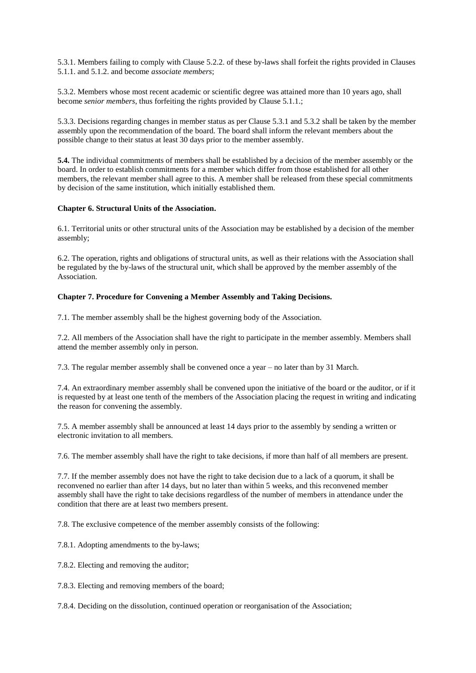5.3.1. Members failing to comply with Clause 5.2.2. of these by-laws shall forfeit the rights provided in Clauses 5.1.1. and 5.1.2. and become *associate members*;

5.3.2. Members whose most recent academic or scientific degree was attained more than 10 years ago, shall become *senior members*, thus forfeiting the rights provided by Clause 5.1.1.;

5.3.3. Decisions regarding changes in member status as per Clause 5.3.1 and 5.3.2 shall be taken by the member assembly upon the recommendation of the board. The board shall inform the relevant members about the possible change to their status at least 30 days prior to the member assembly.

**5.4.** The individual commitments of members shall be established by a decision of the member assembly or the board. In order to establish commitments for a member which differ from those established for all other members, the relevant member shall agree to this. A member shall be released from these special commitments by decision of the same institution, which initially established them.

#### **Chapter 6. Structural Units of the Association.**

6.1. Territorial units or other structural units of the Association may be established by a decision of the member assembly;

6.2. The operation, rights and obligations of structural units, as well as their relations with the Association shall be regulated by the by-laws of the structural unit, which shall be approved by the member assembly of the Association.

#### **Chapter 7. Procedure for Convening a Member Assembly and Taking Decisions.**

7.1. The member assembly shall be the highest governing body of the Association.

7.2. All members of the Association shall have the right to participate in the member assembly. Members shall attend the member assembly only in person.

7.3. The regular member assembly shall be convened once a year – no later than by 31 March.

7.4. An extraordinary member assembly shall be convened upon the initiative of the board or the auditor, or if it is requested by at least one tenth of the members of the Association placing the request in writing and indicating the reason for convening the assembly.

7.5. A member assembly shall be announced at least 14 days prior to the assembly by sending a written or electronic invitation to all members.

7.6. The member assembly shall have the right to take decisions, if more than half of all members are present.

7.7. If the member assembly does not have the right to take decision due to a lack of a quorum, it shall be reconvened no earlier than after 14 days, but no later than within 5 weeks, and this reconvened member assembly shall have the right to take decisions regardless of the number of members in attendance under the condition that there are at least two members present.

7.8. The exclusive competence of the member assembly consists of the following:

7.8.1. Adopting amendments to the by-laws;

7.8.2. Electing and removing the auditor;

7.8.3. Electing and removing members of the board;

7.8.4. Deciding on the dissolution, continued operation or reorganisation of the Association;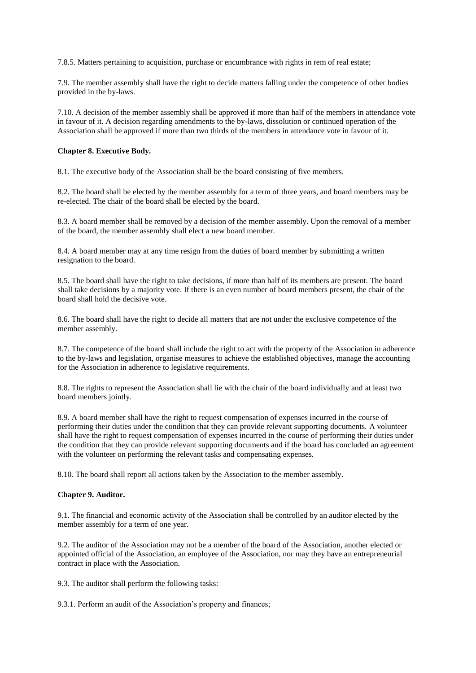7.8.5. Matters pertaining to acquisition, purchase or encumbrance with rights in rem of real estate;

7.9. The member assembly shall have the right to decide matters falling under the competence of other bodies provided in the by-laws.

7.10. A decision of the member assembly shall be approved if more than half of the members in attendance vote in favour of it. A decision regarding amendments to the by-laws, dissolution or continued operation of the Association shall be approved if more than two thirds of the members in attendance vote in favour of it.

#### **Chapter 8. Executive Body.**

8.1. The executive body of the Association shall be the board consisting of five members.

8.2. The board shall be elected by the member assembly for a term of three years, and board members may be re-elected. The chair of the board shall be elected by the board.

8.3. A board member shall be removed by a decision of the member assembly. Upon the removal of a member of the board, the member assembly shall elect a new board member.

8.4. A board member may at any time resign from the duties of board member by submitting a written resignation to the board.

8.5. The board shall have the right to take decisions, if more than half of its members are present. The board shall take decisions by a majority vote. If there is an even number of board members present, the chair of the board shall hold the decisive vote.

8.6. The board shall have the right to decide all matters that are not under the exclusive competence of the member assembly.

8.7. The competence of the board shall include the right to act with the property of the Association in adherence to the by-laws and legislation, organise measures to achieve the established objectives, manage the accounting for the Association in adherence to legislative requirements.

8.8. The rights to represent the Association shall lie with the chair of the board individually and at least two board members jointly.

8.9. A board member shall have the right to request compensation of expenses incurred in the course of performing their duties under the condition that they can provide relevant supporting documents. A volunteer shall have the right to request compensation of expenses incurred in the course of performing their duties under the condition that they can provide relevant supporting documents and if the board has concluded an agreement with the volunteer on performing the relevant tasks and compensating expenses.

8.10. The board shall report all actions taken by the Association to the member assembly.

#### **Chapter 9. Auditor.**

9.1. The financial and economic activity of the Association shall be controlled by an auditor elected by the member assembly for a term of one year.

9.2. The auditor of the Association may not be a member of the board of the Association, another elected or appointed official of the Association, an employee of the Association, nor may they have an entrepreneurial contract in place with the Association.

9.3. The auditor shall perform the following tasks:

9.3.1. Perform an audit of the Association's property and finances;